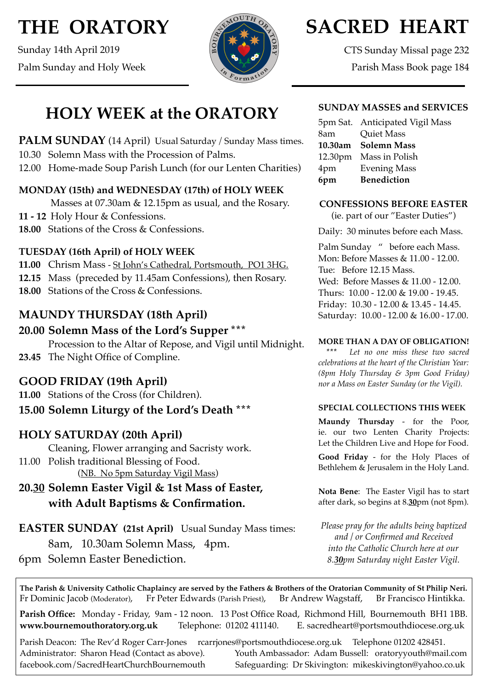# **THE ORATORY**

Sunday 14th April 2019 Palm Sunday and Holy Week



# **SACRED HEART**

CTS Sunday Missal page 232 Parish Mass Book page 184

**HOLY WEEK at the ORATORY**

**PALM SUNDAY** (14 April) Usual Saturday / Sunday Mass times. 10.30 Solemn Mass with the Procession of Palms.

12.00 Home-made Soup Parish Lunch (for our Lenten Charities)

## **MONDAY (15th) and WEDNESDAY (17th) of HOLY WEEK**

Masses at 07.30am & 12.15pm as usual, and the Rosary.

**11 - 12** Holy Hour & Confessions.

**18.00** Stations of the Cross & Confessions.

### **TUESDAY (16th April) of HOLY WEEK**

- **11.00** Chrism Mass St John's Cathedral, Portsmouth, PO1 3HG.
- **12.15** Mass (preceded by 11.45am Confessions), then Rosary.
- **18.00** Stations of the Cross & Confessions.

## **MAUNDY THURSDAY (18th April)**

# **20.00 Solemn Mass of the Lord's Supper \*\*\***

Procession to the Altar of Repose, and Vigil until Midnight. **23.45** The Night Office of Compline.

## **GOOD FRIDAY (19th April)**

**11.00** Stations of the Cross (for Children).

## **15.00 Solemn Liturgy of the Lord's Death \*\*\***

## **HOLY SATURDAY (20th April)**

Cleaning, Flower arranging and Sacristy work. 11.00 Polish traditional Blessing of Food.

(NB. No 5pm Saturday Vigil Mass)

## **20.30 Solemn Easter Vigil & 1st Mass of Easter, with Adult Baptisms & Confirmation.**

**EASTER SUNDAY (21st April)** Usual Sunday Mass times: 8am, 10.30am Solemn Mass, 4pm. 6pm Solemn Easter Benediction.

### **SUNDAY MASSES and SERVICES**

|     | 5pm Sat. Anticipated Vigil Mass |
|-----|---------------------------------|
| 8am | <b>Quiet Mass</b>               |
|     | 10.30am Solemn Mass             |
|     | 12.30pm Mass in Polish          |
| 4pm | <b>Evening Mass</b>             |
| 6pm | <b>Benediction</b>              |

#### **CONFESSIONS BEFORE EASTER**

(ie. part of our "Easter Duties")

Daily: 30 minutes before each Mass.

Palm Sunday " before each Mass. Mon: Before Masses & 11.00 - 12.00. Tue: Before 12.15 Mass. Wed: Before Masses & 11.00 - 12.00. Thurs: 10.00 - 12.00 & 19.00 - 19.45. Friday: 10.30 - 12.00 & 13.45 - 14.45. Saturday: 10.00 - 12.00 & 16.00 - 17.00.

#### **MORE THAN A DAY OF OBLIGATION!**

Let no one miss these two sacred *celebrations at the heart of the Christian Year: (8pm Holy Thursday & 3pm Good Friday) nor a Mass on Easter Sunday (or the Vigil).*

#### **SPECIAL COLLECTIONS THIS WEEK**

**Maundy Thursday** - for the Poor, ie. our two Lenten Charity Projects: Let the Children Live and Hope for Food.

**Good Friday** - for the Holy Places of Bethlehem & Jerusalem in the Holy Land.

**Nota Bene**: The Easter Vigil has to start after dark, so begins at 8.**30**pm (not 8pm).

*Please pray for the adults being baptized and / or Confirmed and Received into the Catholic Church here at our 8.30pm Saturday night Easter Vigil.*

**The Parish & University Catholic Chaplaincy are served by the Fathers & Brothers of the Oratorian Community of St Philip Neri.** Fr Dominic Jacob (Moderator), Fr Peter Edwards (Parish Priest), Br Andrew Wagstaff, Br Francisco Hintikka.

**Parish Office:** Monday - Friday, 9am - 12 noon. 13 Post Office Road, Richmond Hill, Bournemouth BH1 1BB. **[www.bournemouthoratory.org.uk](http://www.bournemoithoratory.org.uk)** Telephone: 01202 411140. E. [sacredheart@portsmouthdiocese.org.uk](mailto:sacredheart@portsmouthdiocese.org.uk)

Parish Deacon: The Rev'd Roger Carr-Jones [rcarrjones@portsmouthdiocese.org.uk](mailto:rcarrjones@portsmouthdiocese.org.uk) Telephone 01202 428451. Administrator: Sharon Head (Contact as above). Youth Ambassador: Adam Bussell: [oratoryyouth@mail.com](http://oratoryyouth.mail.com) [facebook.com/SacredHeartChurchBournemouth](http://facebook.com/SaccredHeartChurchBournemouth) Safeguarding: Dr Skivington: mikeskivington@yahoo.co.uk